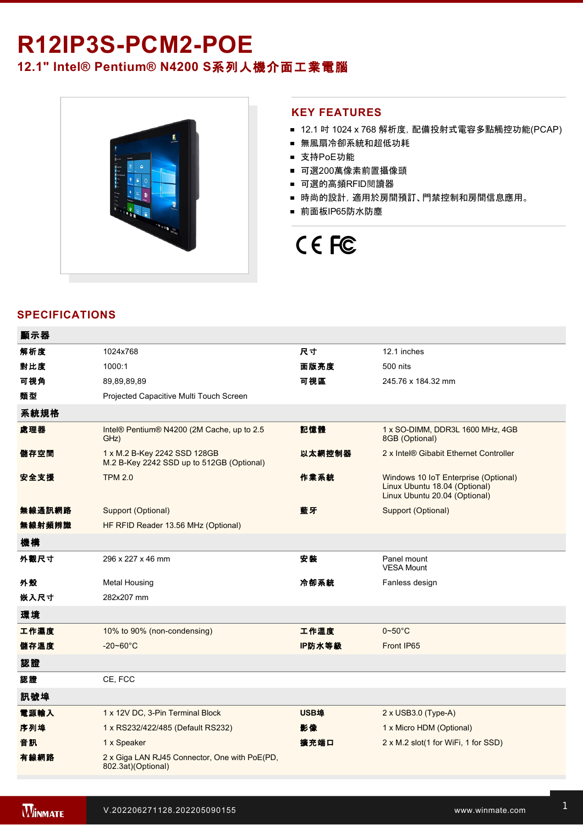# R12IP3S-PCM2-POE **12.1" Intel® Pentium® N4200 S**系列人機介面工業電腦



### **KEY FEATURES**

- 12.1 吋 1024 x 768 解析度, 配備投射式電容多點觸控功能(PCAP)
- 無風扇冷卻系統和超低功耗
- 支持PoE功能
- 可選200萬像素前置攝像頭
- 可選的高頻RFID閱讀器
- 時尚的設計, 適用於房間預訂、門禁控制和房間信息應用。
- 前面板IP65防水防塵

# CE FC

# **SPECIFICATIONS**

| 顯示器    |                                                                           |        |                                                                                                        |
|--------|---------------------------------------------------------------------------|--------|--------------------------------------------------------------------------------------------------------|
| 解析度    | 1024x768                                                                  | 尺寸     | 12.1 inches                                                                                            |
| 對比度    | 1000:1                                                                    | 面版亮度   | 500 nits                                                                                               |
| 可視角    | 89,89,89,89                                                               | 可視區    | 245.76 x 184.32 mm                                                                                     |
| 類型     | Projected Capacitive Multi Touch Screen                                   |        |                                                                                                        |
| 系統規格   |                                                                           |        |                                                                                                        |
| 處理器    | Intel® Pentium® N4200 (2M Cache, up to 2.5)<br>GHz)                       | 記憶體    | 1 x SO-DIMM, DDR3L 1600 MHz, 4GB<br>8GB (Optional)                                                     |
| 儲存空間   | 1 x M.2 B-Key 2242 SSD 128GB<br>M.2 B-Key 2242 SSD up to 512GB (Optional) | 以太網控制器 | 2 x Intel® Gibabit Ethernet Controller                                                                 |
| 安全支援   | <b>TPM 2.0</b>                                                            | 作業系統   | Windows 10 IoT Enterprise (Optional)<br>Linux Ubuntu 18.04 (Optional)<br>Linux Ubuntu 20.04 (Optional) |
| 無線通訊網路 | Support (Optional)                                                        | 藍牙     | Support (Optional)                                                                                     |
| 無線射頻辨識 | HF RFID Reader 13.56 MHz (Optional)                                       |        |                                                                                                        |
| 機構     |                                                                           |        |                                                                                                        |
| 外觀尺寸   | 296 x 227 x 46 mm                                                         | 安装     | Panel mount<br><b>VESA Mount</b>                                                                       |
| 外殼     | <b>Metal Housing</b>                                                      | 冷卻系統   | Fanless design                                                                                         |
| 嵌入尺寸   | 282x207 mm                                                                |        |                                                                                                        |
| 環境     |                                                                           |        |                                                                                                        |
| 工作濕度   | 10% to 90% (non-condensing)                                               | 工作溫度   | $0\neg 50^\circ C$                                                                                     |
| 儲存溫度   | $-20 - 60^{\circ}$ C                                                      | IP防水等級 | Front IP65                                                                                             |
| 認證     |                                                                           |        |                                                                                                        |
| 認證     | CE, FCC                                                                   |        |                                                                                                        |
| 訊號埠    |                                                                           |        |                                                                                                        |
| 電源輸入   | 1 x 12V DC, 3-Pin Terminal Block                                          | USB埠   | $2 \times$ USB3.0 (Type-A)                                                                             |
| 序列埠    | 1 x RS232/422/485 (Default RS232)                                         | 影像     | 1 x Micro HDM (Optional)                                                                               |
| 音訊     | 1 x Speaker                                                               | 擴充端口   | 2 x M.2 slot(1 for WiFi, 1 for SSD)                                                                    |
| 有線網路   | 2 x Giga LAN RJ45 Connector, One with PoE(PD,<br>802.3at)(Optional)       |        |                                                                                                        |
|        |                                                                           |        |                                                                                                        |

ed 100~240V AC to DC Adapter 200